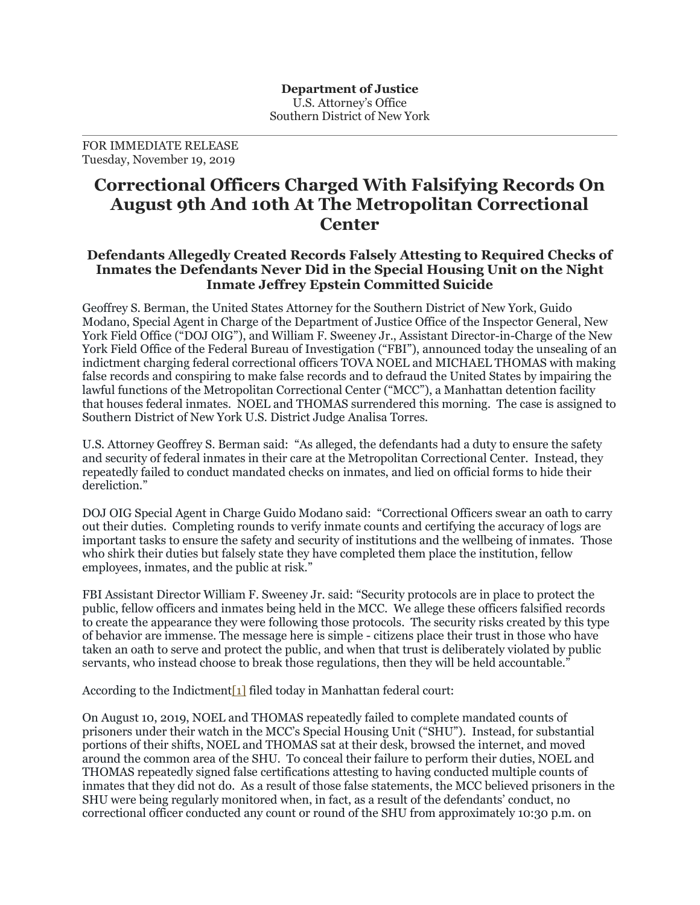FOR IMMEDIATE RELEASE Tuesday, November 19, 2019

## **Correctional Officers Charged With Falsifying Records On August 9th And 10th At The Metropolitan Correctional Center**

## **Defendants Allegedly Created Records Falsely Attesting to Required Checks of Inmates the Defendants Never Did in the Special Housing Unit on the Night Inmate Jeffrey Epstein Committed Suicide**

Geoffrey S. Berman, the United States Attorney for the Southern District of New York, Guido Modano, Special Agent in Charge of the Department of Justice Office of the Inspector General, New York Field Office ("DOJ OIG"), and William F. Sweeney Jr., Assistant Director-in-Charge of the New York Field Office of the Federal Bureau of Investigation ("FBI"), announced today the unsealing of an indictment charging federal correctional officers TOVA NOEL and MICHAEL THOMAS with making false records and conspiring to make false records and to defraud the United States by impairing the lawful functions of the Metropolitan Correctional Center ("MCC"), a Manhattan detention facility that houses federal inmates. NOEL and THOMAS surrendered this morning. The case is assigned to Southern District of New York U.S. District Judge Analisa Torres.

U.S. Attorney Geoffrey S. Berman said: "As alleged, the defendants had a duty to ensure the safety and security of federal inmates in their care at the Metropolitan Correctional Center. Instead, they repeatedly failed to conduct mandated checks on inmates, and lied on official forms to hide their dereliction."

DOJ OIG Special Agent in Charge Guido Modano said: "Correctional Officers swear an oath to carry out their duties. Completing rounds to verify inmate counts and certifying the accuracy of logs are important tasks to ensure the safety and security of institutions and the wellbeing of inmates. Those who shirk their duties but falsely state they have completed them place the institution, fellow employees, inmates, and the public at risk."

FBI Assistant Director William F. Sweeney Jr. said: "Security protocols are in place to protect the public, fellow officers and inmates being held in the MCC. We allege these officers falsified records to create the appearance they were following those protocols. The security risks created by this type of behavior are immense. The message here is simple - citizens place their trust in those who have taken an oath to serve and protect the public, and when that trust is deliberately violated by public servants, who instead choose to break those regulations, then they will be held accountable."

According to the Indictment $[1]$  filed today in Manhattan federal court:

On August 10, 2019, NOEL and THOMAS repeatedly failed to complete mandated counts of prisoners under their watch in the MCC's Special Housing Unit ("SHU"). Instead, for substantial portions of their shifts, NOEL and THOMAS sat at their desk, browsed the internet, and moved around the common area of the SHU. To conceal their failure to perform their duties, NOEL and THOMAS repeatedly signed false certifications attesting to having conducted multiple counts of inmates that they did not do. As a result of those false statements, the MCC believed prisoners in the SHU were being regularly monitored when, in fact, as a result of the defendants' conduct, no correctional officer conducted any count or round of the SHU from approximately 10:30 p.m. on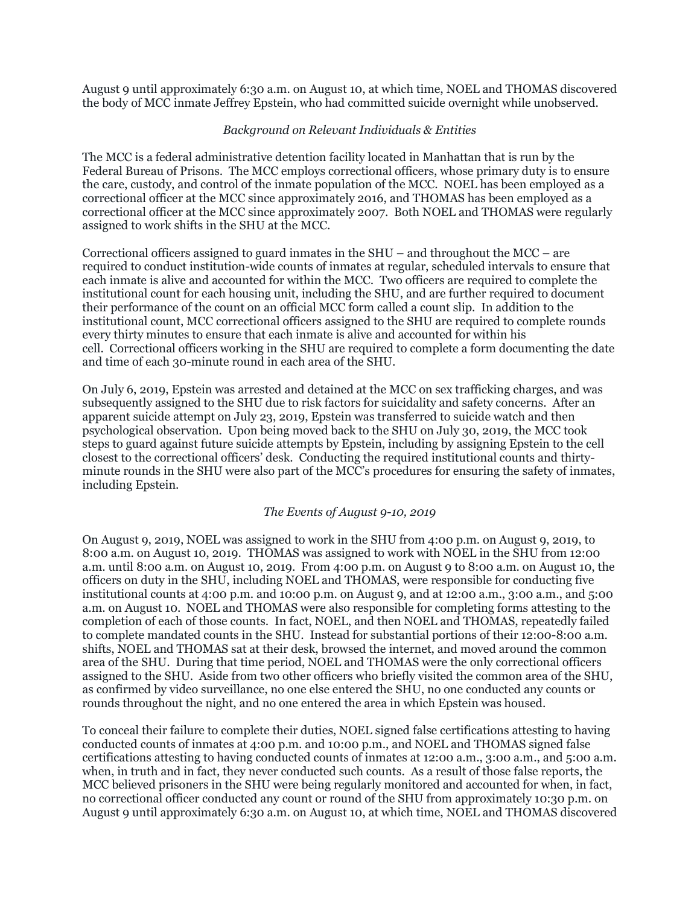August 9 until approximately 6:30 a.m. on August 10, at which time, NOEL and THOMAS discovered the body of MCC inmate Jeffrey Epstein, who had committed suicide overnight while unobserved.

## *Background on Relevant Individuals & Entities*

The MCC is a federal administrative detention facility located in Manhattan that is run by the Federal Bureau of Prisons. The MCC employs correctional officers, whose primary duty is to ensure the care, custody, and control of the inmate population of the MCC. NOEL has been employed as a correctional officer at the MCC since approximately 2016, and THOMAS has been employed as a correctional officer at the MCC since approximately 2007. Both NOEL and THOMAS were regularly assigned to work shifts in the SHU at the MCC.

Correctional officers assigned to guard inmates in the  $SHU -$  and throughout the MCC – are required to conduct institution-wide counts of inmates at regular, scheduled intervals to ensure that each inmate is alive and accounted for within the MCC. Two officers are required to complete the institutional count for each housing unit, including the SHU, and are further required to document their performance of the count on an official MCC form called a count slip. In addition to the institutional count, MCC correctional officers assigned to the SHU are required to complete rounds every thirty minutes to ensure that each inmate is alive and accounted for within his cell. Correctional officers working in the SHU are required to complete a form documenting the date and time of each 30-minute round in each area of the SHU.

On July 6, 2019, Epstein was arrested and detained at the MCC on sex trafficking charges, and was subsequently assigned to the SHU due to risk factors for suicidality and safety concerns. After an apparent suicide attempt on July 23, 2019, Epstein was transferred to suicide watch and then psychological observation. Upon being moved back to the SHU on July 30, 2019, the MCC took steps to guard against future suicide attempts by Epstein, including by assigning Epstein to the cell closest to the correctional officers' desk. Conducting the required institutional counts and thirtyminute rounds in the SHU were also part of the MCC's procedures for ensuring the safety of inmates, including Epstein.

## *The Events of August 9-10, 2019*

On August 9, 2019, NOEL was assigned to work in the SHU from 4:00 p.m. on August 9, 2019, to 8:00 a.m. on August 10, 2019. THOMAS was assigned to work with NOEL in the SHU from 12:00 a.m. until 8:00 a.m. on August 10, 2019. From 4:00 p.m. on August 9 to 8:00 a.m. on August 10, the officers on duty in the SHU, including NOEL and THOMAS, were responsible for conducting five institutional counts at 4:00 p.m. and 10:00 p.m. on August 9, and at 12:00 a.m., 3:00 a.m., and 5:00 a.m. on August 10. NOEL and THOMAS were also responsible for completing forms attesting to the completion of each of those counts. In fact, NOEL, and then NOEL and THOMAS, repeatedly failed to complete mandated counts in the SHU. Instead for substantial portions of their 12:00-8:00 a.m. shifts, NOEL and THOMAS sat at their desk, browsed the internet, and moved around the common area of the SHU. During that time period, NOEL and THOMAS were the only correctional officers assigned to the SHU. Aside from two other officers who briefly visited the common area of the SHU, as confirmed by video surveillance, no one else entered the SHU, no one conducted any counts or rounds throughout the night, and no one entered the area in which Epstein was housed.

To conceal their failure to complete their duties, NOEL signed false certifications attesting to having conducted counts of inmates at 4:00 p.m. and 10:00 p.m., and NOEL and THOMAS signed false certifications attesting to having conducted counts of inmates at 12:00 a.m., 3:00 a.m., and 5:00 a.m. when, in truth and in fact, they never conducted such counts. As a result of those false reports, the MCC believed prisoners in the SHU were being regularly monitored and accounted for when, in fact, no correctional officer conducted any count or round of the SHU from approximately 10:30 p.m. on August 9 until approximately 6:30 a.m. on August 10, at which time, NOEL and THOMAS discovered